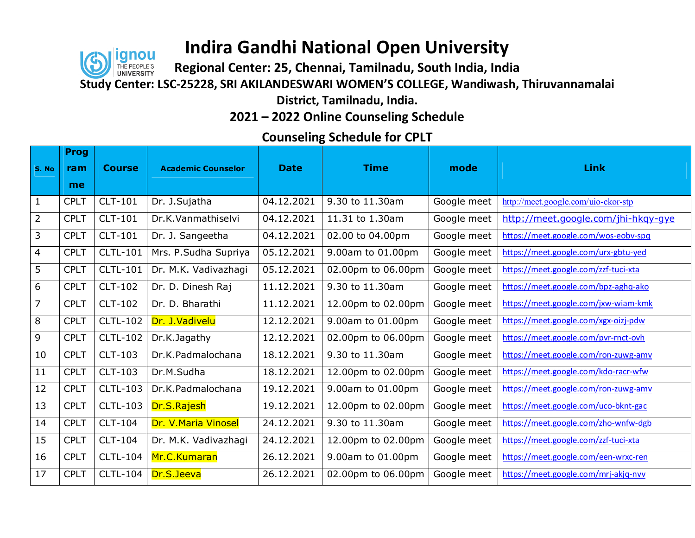### IOI nou

### **Indira Gandhi National Open University**

**Regional Center: 25, Chennai, Tamilnadu, South India, India** 

**Study Center: LSC-25228, SRI AKILANDESWARI WOMEN'S COLLEGE, Wandiwash, Thiruvannamalai** 

**District, Tamilnadu, India.** 

**2021 – 2022 Online Counseling Schedule** 

#### **Counseling Schedule for CPLT**

|                | <b>Prog</b> |                 |                           |             |                    |             |                                      |
|----------------|-------------|-----------------|---------------------------|-------------|--------------------|-------------|--------------------------------------|
| S. No          | ram         | <b>Course</b>   | <b>Academic Counselor</b> | <b>Date</b> | <b>Time</b>        | mode        | <b>Link</b>                          |
|                | me          |                 |                           |             |                    |             |                                      |
| $\mathbf{1}$   | <b>CPLT</b> | CLT-101         | Dr. J.Sujatha             | 04.12.2021  | 9.30 to 11.30am    | Google meet | http://meet.google.com/uio-ckor-stp  |
| $\overline{2}$ | <b>CPLT</b> | <b>CLT-101</b>  | Dr.K.Vanmathiselvi        | 04.12.2021  | 11.31 to 1.30am    | Google meet | http://meet.google.com/jhi-hkgy-gye  |
| 3              | <b>CPLT</b> | <b>CLT-101</b>  | Dr. J. Sangeetha          | 04.12.2021  | 02.00 to 04.00pm   | Google meet | https://meet.google.com/wos-eobv-spq |
| $\overline{4}$ | <b>CPLT</b> | <b>CLTL-101</b> | Mrs. P.Sudha Supriya      | 05.12.2021  | 9.00am to 01.00pm  | Google meet | https://meet.google.com/urx-gbtu-yed |
| 5              | <b>CPLT</b> | <b>CLTL-101</b> | Dr. M.K. Vadivazhagi      | 05.12.2021  | 02.00pm to 06.00pm | Google meet | https://meet.google.com/zzf-tuci-xta |
| 6              | <b>CPLT</b> | <b>CLT-102</b>  | Dr. D. Dinesh Raj         | 11.12.2021  | 9.30 to 11.30am    | Google meet | https://meet.google.com/bpz-aghq-ako |
| $\overline{7}$ | <b>CPLT</b> | <b>CLT-102</b>  | Dr. D. Bharathi           | 11.12.2021  | 12.00pm to 02.00pm | Google meet | https://meet.google.com/jxw-wiam-kmk |
| 8              | <b>CPLT</b> | <b>CLTL-102</b> | Dr. J.Vadivelu            | 12.12.2021  | 9.00am to 01.00pm  | Google meet | https://meet.google.com/xgx-oizj-pdw |
| 9              | <b>CPLT</b> | <b>CLTL-102</b> | Dr.K.Jagathy              | 12.12.2021  | 02.00pm to 06.00pm | Google meet | https://meet.google.com/pvr-rnct-ovh |
| 10             | <b>CPLT</b> | <b>CLT-103</b>  | Dr.K.Padmalochana         | 18.12.2021  | 9.30 to 11.30am    | Google meet | https://meet.google.com/ron-zuwg-amv |
| 11             | <b>CPLT</b> | <b>CLT-103</b>  | Dr.M.Sudha                | 18.12.2021  | 12.00pm to 02.00pm | Google meet | https://meet.google.com/kdo-racr-wfw |
| 12             | <b>CPLT</b> | <b>CLTL-103</b> | Dr.K.Padmalochana         | 19.12.2021  | 9.00am to 01.00pm  | Google meet | https://meet.google.com/ron-zuwg-amv |
| 13             | <b>CPLT</b> | <b>CLTL-103</b> | Dr.S.Rajesh               | 19.12.2021  | 12.00pm to 02.00pm | Google meet | https://meet.google.com/uco-bknt-gac |
| 14             | <b>CPLT</b> | CLT-104         | Dr. V. Maria Vinosel      | 24.12.2021  | 9.30 to 11.30am    | Google meet | https://meet.google.com/zho-wnfw-dgb |
| 15             | <b>CPLT</b> | <b>CLT-104</b>  | Dr. M.K. Vadivazhagi      | 24.12.2021  | 12.00pm to 02.00pm | Google meet | https://meet.google.com/zzf-tuci-xta |
| 16             | <b>CPLT</b> | <b>CLTL-104</b> | Mr.C.Kumaran              | 26.12.2021  | 9.00am to 01.00pm  | Google meet | https://meet.google.com/een-wrxc-ren |
| 17             | <b>CPLT</b> | <b>CLTL-104</b> | Dr.S.Jeeva                | 26.12.2021  | 02.00pm to 06.00pm | Google meet | https://meet.google.com/mrj-akjq-nvv |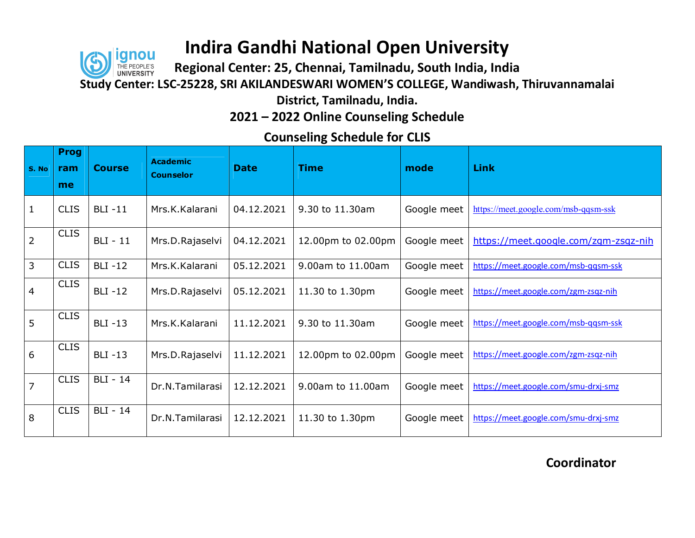**Regional Center: 25, Chennai, Tamilnadu, South India, India** 

ianou

**Study Center: LSC-25228, SRI AKILANDESWARI WOMEN'S COLLEGE, Wandiwash, Thiruvannamalai** 

**District, Tamilnadu, India.** 

**2021 – 2022 Online Counseling Schedule** 

|                | <b>Prog</b> |                 |                                     |             |                    |             |                                      |
|----------------|-------------|-----------------|-------------------------------------|-------------|--------------------|-------------|--------------------------------------|
| S. No          | ram         | <b>Course</b>   | <b>Academic</b><br><b>Counselor</b> | <b>Date</b> | <b>Time</b>        | mode        | <b>Link</b>                          |
|                | me          |                 |                                     |             |                    |             |                                      |
| $\mathbf{1}$   | <b>CLIS</b> | <b>BLI-11</b>   | Mrs.K.Kalarani                      | 04.12.2021  | 9.30 to 11.30am    | Google meet | https://meet.google.com/msb-qqsm-ssk |
| $\overline{2}$ | <b>CLIS</b> | <b>BLI</b> - 11 | Mrs.D.Rajaselvi                     | 04.12.2021  | 12.00pm to 02.00pm | Google meet | https://meet.google.com/zgm-zsqz-nih |
| $\overline{3}$ | <b>CLIS</b> | <b>BLI-12</b>   | Mrs.K.Kalarani                      | 05.12.2021  | 9.00am to 11.00am  | Google meet | https://meet.google.com/msb-qqsm-ssk |
| $\overline{4}$ | <b>CLIS</b> | <b>BLI-12</b>   | Mrs.D.Rajaselvi                     | 05.12.2021  | 11.30 to 1.30pm    | Google meet | https://meet.google.com/zgm-zsqz-nih |
| 5              | <b>CLIS</b> | <b>BLI-13</b>   | Mrs.K.Kalarani                      | 11.12.2021  | 9.30 to 11.30am    | Google meet | https://meet.google.com/msb-qqsm-ssk |
| 6              | <b>CLIS</b> | <b>BLI-13</b>   | Mrs.D.Rajaselvi                     | 11.12.2021  | 12.00pm to 02.00pm | Google meet | https://meet.google.com/zgm-zsqz-nih |
| $\overline{7}$ | <b>CLIS</b> | <b>BLI</b> - 14 | Dr.N.Tamilarasi                     | 12.12.2021  | 9.00am to 11.00am  | Google meet | https://meet.google.com/smu-drxj-smz |
| 8              | <b>CLIS</b> | <b>BLI</b> - 14 | Dr.N.Tamilarasi                     | 12.12.2021  | 11.30 to 1.30pm    | Google meet | https://meet.google.com/smu-drxj-smz |

**Counseling Schedule for CLIS**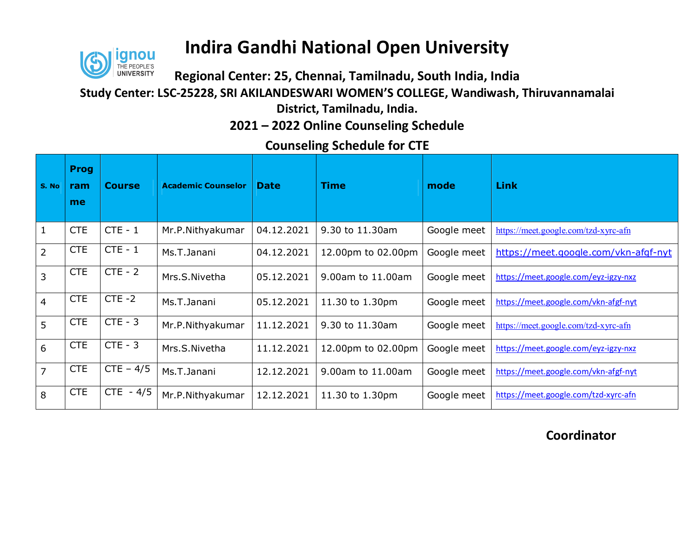

**Regional Center: 25, Chennai, Tamilnadu, South India, India** 

**Study Center: LSC-25228, SRI AKILANDESWARI WOMEN'S COLLEGE, Wandiwash, Thiruvannamalai** 

**District, Tamilnadu, India.** 

**2021 – 2022 Online Counseling Schedule** 

### **Counseling Schedule for CTE**

| S. No          | <b>Prog</b><br>ram<br>me | <b>Course</b> | <b>Academic Counselor</b> | <b>Date</b> | <b>Time</b>        | mode        | <b>Link</b>                          |
|----------------|--------------------------|---------------|---------------------------|-------------|--------------------|-------------|--------------------------------------|
| $\mathbf{1}$   | <b>CTE</b>               | $CTE - 1$     | Mr.P.Nithyakumar          | 04.12.2021  | 9.30 to 11.30am    | Google meet | https://meet.google.com/tzd-xyrc-afn |
| $\overline{2}$ | <b>CTE</b>               | $CTE - 1$     | Ms.T.Janani               | 04.12.2021  | 12.00pm to 02.00pm | Google meet | https://meet.google.com/vkn-afgf-nyt |
| 3              | <b>CTE</b>               | $CTE - 2$     | Mrs.S.Nivetha             | 05.12.2021  | 9.00am to 11.00am  | Google meet | https://meet.google.com/eyz-igzy-nxz |
| $\overline{4}$ | <b>CTE</b>               | $CTE - 2$     | Ms.T.Janani               | 05.12.2021  | 11.30 to 1.30pm    | Google meet | https://meet.google.com/vkn-afgf-nyt |
| 5              | <b>CTE</b>               | $CTE - 3$     | Mr.P.Nithyakumar          | 11.12.2021  | 9.30 to 11.30am    | Google meet | https://meet.google.com/tzd-xyrc-afn |
| 6              | <b>CTE</b>               | $CTE - 3$     | Mrs.S.Nivetha             | 11.12.2021  | 12.00pm to 02.00pm | Google meet | https://meet.google.com/eyz-igzy-nxz |
| $\overline{7}$ | <b>CTE</b>               | $CTE - 4/5$   | Ms.T.Janani               | 12.12.2021  | 9.00am to 11.00am  | Google meet | https://meet.google.com/vkn-afgf-nyt |
| 8              | <b>CTE</b>               | $CTE - 4/5$   | Mr.P.Nithyakumar          | 12.12.2021  | 11.30 to 1.30pm    | Google meet | https://meet.google.com/tzd-xyrc-afn |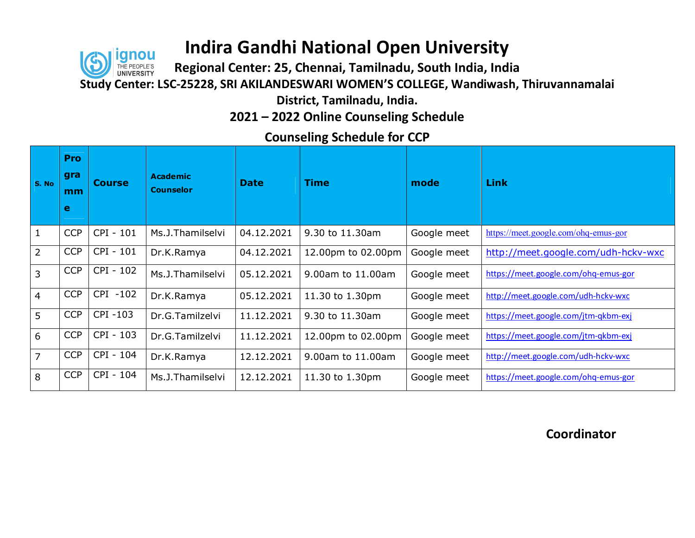# ianou

### **Indira Gandhi National Open University**

**Regional Center: 25, Chennai, Tamilnadu, South India, India** 

**Study Center: LSC-25228, SRI AKILANDESWARI WOMEN'S COLLEGE, Wandiwash, Thiruvannamalai** 

**District, Tamilnadu, India.** 

**2021 – 2022 Online Counseling Schedule** 

**Counseling Schedule for CCP**

| S. No           | Pro<br>gra<br>mm<br>е | <b>Course</b> | <b>Academic</b><br><b>Counselor</b> | <b>Date</b> | <b>Time</b>        | mode        | Link                                 |
|-----------------|-----------------------|---------------|-------------------------------------|-------------|--------------------|-------------|--------------------------------------|
| $\mathbf{1}$    | <b>CCP</b>            | CPI - 101     | Ms.J.Thamilselvi                    | 04.12.2021  | 9.30 to 11.30am    | Google meet | https://meet.google.com/ohq-emus-gor |
| $\overline{2}$  | <b>CCP</b>            | CPI - 101     | Dr.K.Ramya                          | 04.12.2021  | 12.00pm to 02.00pm | Google meet | http://meet.google.com/udh-hckv-wxc  |
| $\overline{3}$  | <b>CCP</b>            | CPI - 102     | Ms.J.Thamilselvi                    | 05.12.2021  | 9.00am to 11.00am  | Google meet | https://meet.google.com/ohq-emus-gor |
| $\overline{4}$  | <b>CCP</b>            | CPI -102      | Dr.K.Ramya                          | 05.12.2021  | 11.30 to 1.30pm    | Google meet | http://meet.google.com/udh-hckv-wxc  |
| $5\overline{)}$ | <b>CCP</b>            | CPI-103       | Dr.G.Tamilzelvi                     | 11.12.2021  | 9.30 to 11.30am    | Google meet | https://meet.google.com/jtm-qkbm-exj |
| 6               | <b>CCP</b>            | CPI - 103     | Dr.G.Tamilzelvi                     | 11.12.2021  | 12.00pm to 02.00pm | Google meet | https://meet.google.com/jtm-qkbm-exj |
| $\overline{7}$  | <b>CCP</b>            | CPI - 104     | Dr.K.Ramya                          | 12.12.2021  | 9.00am to 11.00am  | Google meet | http://meet.google.com/udh-hckv-wxc  |
| 8               | <b>CCP</b>            | CPI - 104     | Ms.J.Thamilselvi                    | 12.12.2021  | 11.30 to 1.30pm    | Google meet | https://meet.google.com/ohq-emus-gor |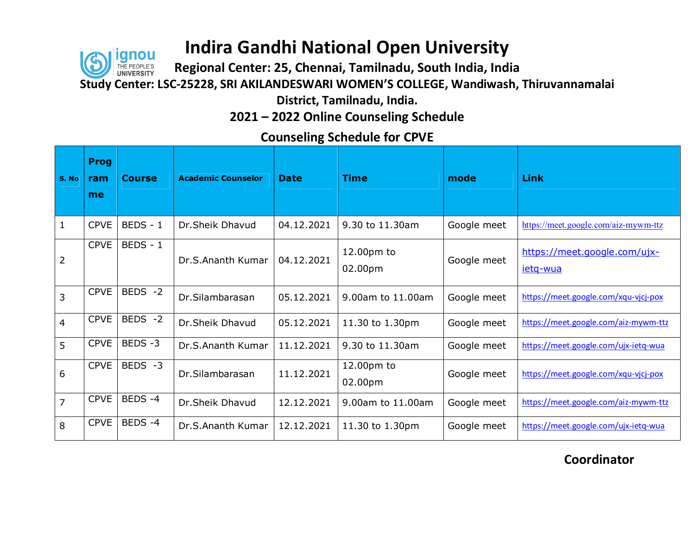

**Regional Center: 25, Chennai, Tamilnadu, South India, India** 

**Study Center: LSC-25228, SRI AKILANDESWARI WOMEN'S COLLEGE, Wandiwash, Thiruvannamalai** 

**District, Tamilnadu, India.** 

**2021 – 2022 Online Counseling Schedule** 

### **Counseling Schedule for CPVE**

| S. No          | <b>Prog</b><br>ram<br>me | <b>Course</b> | <b>Academic Counselor</b> | <b>Date</b> | <b>Time</b>           | mode        | Link                                            |
|----------------|--------------------------|---------------|---------------------------|-------------|-----------------------|-------------|-------------------------------------------------|
| 1              | <b>CPVE</b>              | BEDS - 1      | Dr.Sheik Dhavud           | 04.12.2021  | 9.30 to 11.30am       | Google meet | https://meet.google.com/aiz-mywm-ttz            |
| 2              | <b>CPVE</b>              | $BEDS - 1$    | Dr.S.Ananth Kumar         | 04.12.2021  | 12.00pm to<br>02.00pm | Google meet | https://meet.google.com/ujx-<br><u>ietg-wua</u> |
| 3              | <b>CPVE</b>              | BEDS -2       | Dr.Silambarasan           | 05.12.2021  | 9.00am to 11.00am     | Google meet | https://meet.google.com/xqu-vjcj-pox            |
| $\overline{4}$ | <b>CPVE</b>              | BEDS -2       | Dr.Sheik Dhavud           | 05.12.2021  | 11.30 to 1.30pm       | Google meet | https://meet.google.com/aiz-mywm-ttz            |
| 5              | <b>CPVE</b>              | BEDS-3        | Dr.S.Ananth Kumar         | 11.12.2021  | 9.30 to 11.30am       | Google meet | https://meet.google.com/ujx-ietq-wua            |
| 6              | <b>CPVE</b>              | BEDS -3       | Dr.Silambarasan           | 11.12.2021  | 12.00pm to<br>02.00pm | Google meet | https://meet.google.com/xqu-vjcj-pox            |
| $\overline{7}$ | <b>CPVE</b>              | BEDS-4        | Dr.Sheik Dhavud           | 12.12.2021  | 9.00am to 11.00am     | Google meet | https://meet.google.com/aiz-mywm-ttz            |
| 8              | <b>CPVE</b>              | BEDS-4        | Dr.S.Ananth Kumar         | 12.12.2021  | 11.30 to 1.30pm       | Google meet | https://meet.google.com/ujx-ietq-wua            |